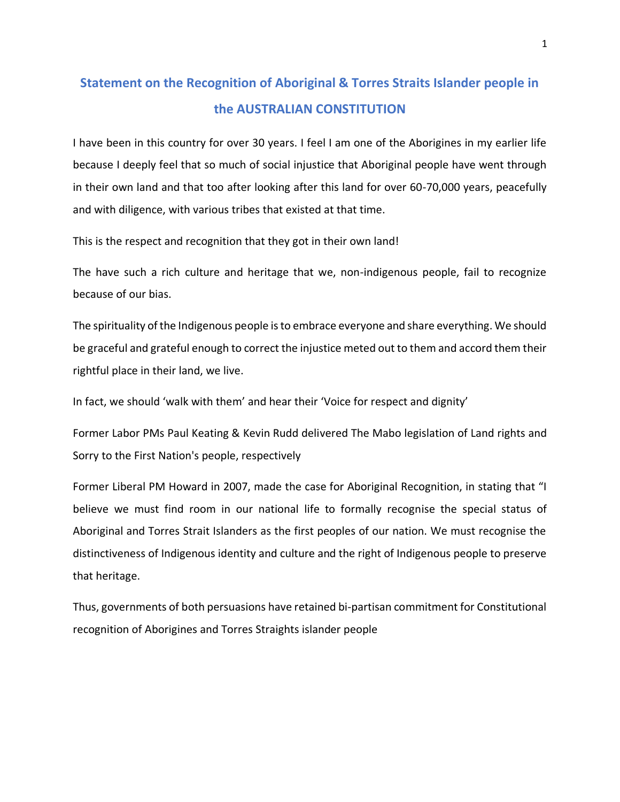## **Statement on the Recognition of Aboriginal & Torres Straits Islander people in the AUSTRALIAN CONSTITUTION**

I have been in this country for over 30 years. I feel I am one of the Aborigines in my earlier life because I deeply feel that so much of social injustice that Aboriginal people have went through in their own land and that too after looking after this land for over 60-70,000 years, peacefully and with diligence, with various tribes that existed at that time.

This is the respect and recognition that they got in their own land!

The have such a rich culture and heritage that we, non-indigenous people, fail to recognize because of our bias.

The spirituality of the Indigenous people is to embrace everyone and share everything. We should be graceful and grateful enough to correct the injustice meted out to them and accord them their rightful place in their land, we live.

In fact, we should 'walk with them' and hear their 'Voice for respect and dignity'

Former Labor PMs Paul Keating & Kevin Rudd delivered The Mabo legislation of Land rights and Sorry to the First Nation's people, respectively

Former Liberal PM Howard in 2007, made the case for Aboriginal Recognition, in stating that "I believe we must find room in our national life to formally recognise the special status of Aboriginal and Torres Strait Islanders as the first peoples of our nation. We must recognise the distinctiveness of Indigenous identity and culture and the right of Indigenous people to preserve that heritage.

Thus, governments of both persuasions have retained bi-partisan commitment for Constitutional recognition of Aborigines and Torres Straights islander people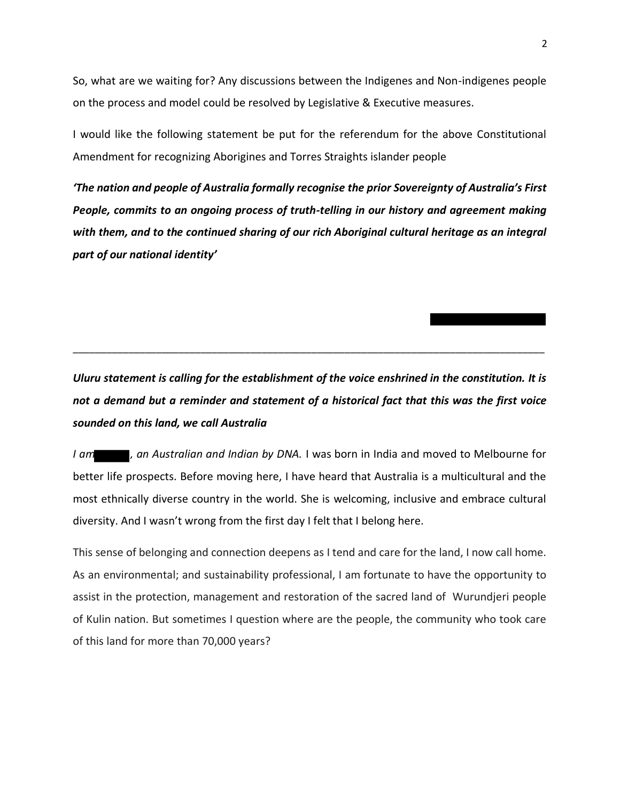So, what are we waiting for? Any discussions between the Indigenes and Non-indigenes people on the process and model could be resolved by Legislative & Executive measures.

I would like the following statement be put for the referendum for the above Constitutional Amendment for recognizing Aborigines and Torres Straights islander people

*'The nation and people of Australia formally recognise the prior Sovereignty of Australia's First People, commits to an ongoing process of truth-telling in our history and agreement making with them, and to the continued sharing of our rich Aboriginal cultural heritage as an integral part of our national identity'*

*Uluru statement is calling for the establishment of the voice enshrined in the constitution. It is not a demand but a reminder and statement of a historical fact that this was the first voice sounded on this land, we call Australia*

\_\_\_\_\_\_\_\_\_\_\_\_\_\_\_\_\_\_\_\_\_\_\_\_\_\_\_\_\_\_\_\_\_\_\_\_\_\_\_\_\_\_\_\_\_\_\_\_\_\_\_\_\_\_\_\_\_\_\_\_\_\_\_\_\_\_\_\_\_\_\_\_\_\_\_\_\_\_\_\_\_\_\_\_\_

*I am* , an Australian and Indian by DNA. I was born in India and moved to Melbourne for better life prospects. Before moving here, I have heard that Australia is a multicultural and the most ethnically diverse country in the world. She is welcoming, inclusive and embrace cultural diversity. And I wasn't wrong from the first day I felt that I belong here.

This sense of belonging and connection deepens as I tend and care for the land, I now call home. As an environmental; and sustainability professional, I am fortunate to have the opportunity to assist in the protection, management and restoration of the sacred land of Wurundjeri people of Kulin nation. But sometimes I question where are the people, the community who took care of this land for more than 70,000 years?